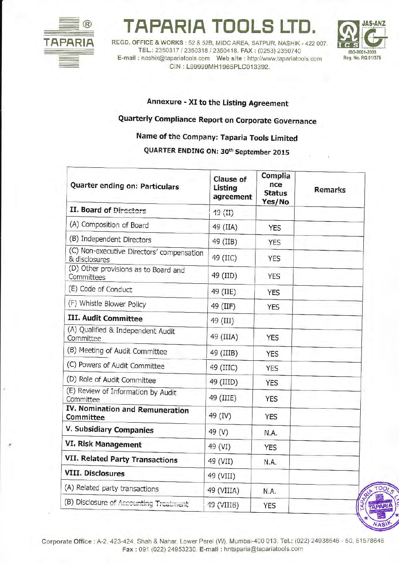

## **APARIA TOOL**

REGD. OFFICE & WORKS: 52 & 52B, MIDC AREA, SATPUR, NASHIK - 422 007 TEL.: 2350317 / 2350318 / 2350418. FAX: (0253) 2350740 CIN: L99999MH1965PLC013392.



Annexure - XI to the Listing Agreement

## Quarterly Compliance Report on Corporate Governance

## Name of the Company: Taparia Tools Limited

QUARTER ENDING ON: 30<sup>th</sup> September 2015

| Quarter ending on: Particulars                             | <b>Clause of</b><br>Listing<br>agreement | Complia<br>nce<br><b>Status</b><br>Yes/No | <b>Remarks</b> |
|------------------------------------------------------------|------------------------------------------|-------------------------------------------|----------------|
| <b>II. Board of Directors</b>                              | $19$ (II)                                |                                           |                |
| (A) Composition of Board                                   | 49 (IIA)                                 | <b>YES</b>                                |                |
| (B) Independent Directors                                  | 49 (IIB)                                 | <b>YES</b>                                |                |
| (C) Non-executive Directors' compensation<br>& disclosures | 49 (IIC)                                 | <b>YES</b>                                |                |
| (D) Other provisions as to Board and<br>Committees         | 49 (IID)                                 | <b>YES</b>                                |                |
| (E) Code of Conduct                                        | 49 (IIE)                                 | <b>YES</b>                                |                |
| (F) Whistle Blower Policy                                  | 49 (IIF)                                 | <b>YES</b>                                |                |
| III. Audit Committee                                       | 49 (III)                                 |                                           |                |
| (A) Qualified & Independent Audit<br>Committee             | 49 (IIIA)                                | <b>YES</b>                                |                |
| (B) Meeting of Audit Committee                             | 49 (IIIB)                                | <b>YES</b>                                |                |
| (C) Powers of Audit Committee                              | 49 (IIIC)                                | <b>YES</b>                                |                |
| (D) Role of Audit Committee                                | 49 (IIID)                                | <b>YES</b>                                |                |
| (E) Review of Information by Audit<br>Committee            | 49 (IIIE)                                | <b>YES</b>                                |                |
| IV. Nomination and Remuneration<br>Committee               | 49 (IV)                                  | <b>YES</b>                                |                |
| V. Subsidiary Companies                                    | 49 (V)                                   | N.A.                                      |                |
| VI. Risk Management                                        | 49 (VI)                                  | <b>YES</b>                                |                |
| <b>VII. Related Party Transactions</b>                     | 49 (VII)                                 | N.A.                                      |                |
| <b>VIII. Disclosures</b>                                   | 49 (VIII)                                |                                           |                |
| (A) Related party transactions                             | 49 (VIIIA)                               | N.A.                                      |                |
| (B) Disclosure of Accounting Treatment                     | 49 (VIIIB)                               | <b>YES</b>                                | TAPA           |